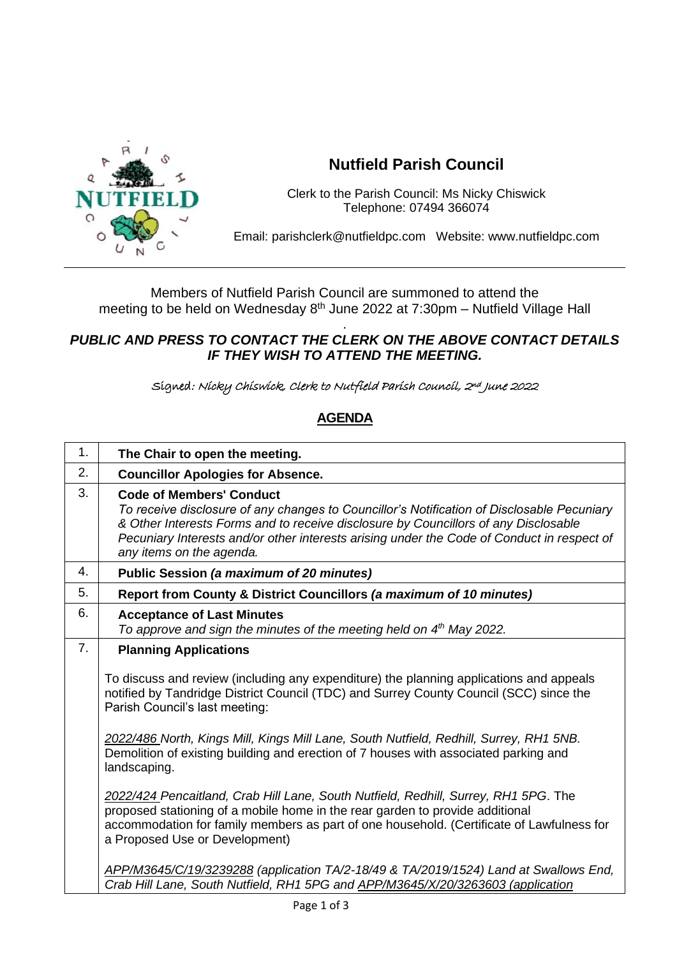

## **Nutfield Parish Council**

Clerk to the Parish Council: Ms Nicky Chiswick Telephone: 07494 366074

Email: parishclerk@nutfieldpc.com Website: www.nutfieldpc.com

Members of Nutfield Parish Council are summoned to attend the meeting to be held on Wednesday 8<sup>th</sup> June 2022 at 7:30pm - Nutfield Village Hall

## . *PUBLIC AND PRESS TO CONTACT THE CLERK ON THE ABOVE CONTACT DETAILS IF THEY WISH TO ATTEND THE MEETING.*

Signed: Nicky Chiswick, Clerk to Nutfield Parish Council, 2nd June 2022

## **AGENDA**

| 1. | The Chair to open the meeting.                                                                                                                                                                                                                                                                                                                 |
|----|------------------------------------------------------------------------------------------------------------------------------------------------------------------------------------------------------------------------------------------------------------------------------------------------------------------------------------------------|
| 2. | <b>Councillor Apologies for Absence.</b>                                                                                                                                                                                                                                                                                                       |
| 3. | <b>Code of Members' Conduct</b><br>To receive disclosure of any changes to Councillor's Notification of Disclosable Pecuniary<br>& Other Interests Forms and to receive disclosure by Councillors of any Disclosable<br>Pecuniary Interests and/or other interests arising under the Code of Conduct in respect of<br>any items on the agenda. |
| 4. | Public Session (a maximum of 20 minutes)                                                                                                                                                                                                                                                                                                       |
| 5. | Report from County & District Councillors (a maximum of 10 minutes)                                                                                                                                                                                                                                                                            |
| 6. | <b>Acceptance of Last Minutes</b><br>To approve and sign the minutes of the meeting held on 4 <sup>th</sup> May 2022.                                                                                                                                                                                                                          |
| 7. | <b>Planning Applications</b>                                                                                                                                                                                                                                                                                                                   |
|    | To discuss and review (including any expenditure) the planning applications and appeals<br>notified by Tandridge District Council (TDC) and Surrey County Council (SCC) since the<br>Parish Council's last meeting:                                                                                                                            |
|    | 2022/486 North, Kings Mill, Kings Mill Lane, South Nutfield, Redhill, Surrey, RH1 5NB.<br>Demolition of existing building and erection of 7 houses with associated parking and<br>landscaping.                                                                                                                                                 |
|    | 2022/424 Pencaitland, Crab Hill Lane, South Nutfield, Redhill, Surrey, RH1 5PG. The<br>proposed stationing of a mobile home in the rear garden to provide additional<br>accommodation for family members as part of one household. (Certificate of Lawfulness for<br>a Proposed Use or Development)                                            |
|    | APP/M3645/C/19/3239288 (application TA/2-18/49 & TA/2019/1524) Land at Swallows End,<br>Crab Hill Lane, South Nutfield, RH1 5PG and APP/M3645/X/20/3263603 (application                                                                                                                                                                        |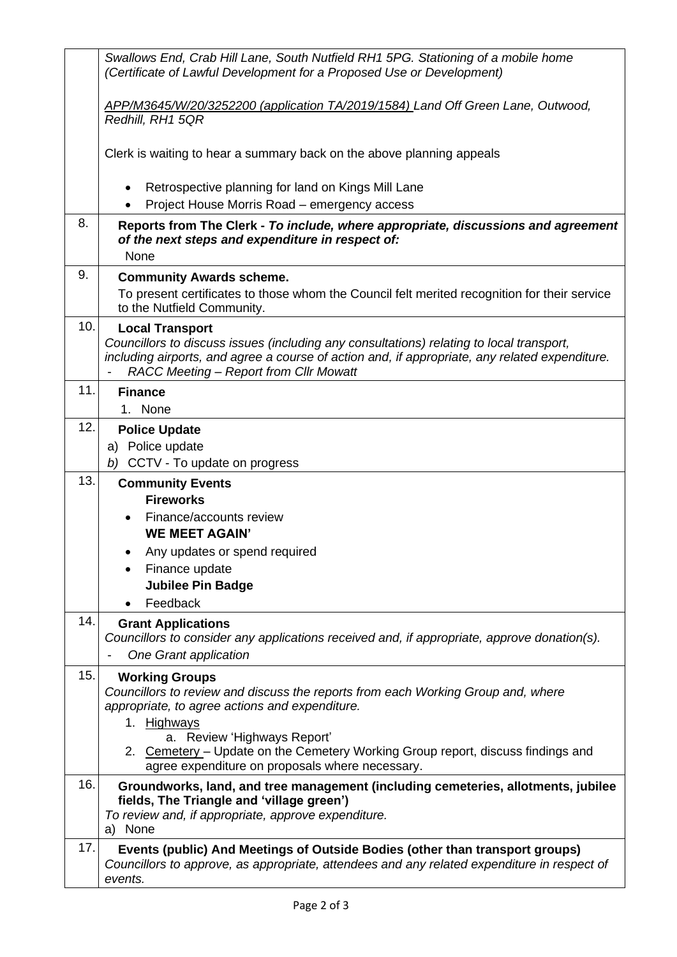|     | Swallows End, Crab Hill Lane, South Nutfield RH1 5PG. Stationing of a mobile home<br>(Certificate of Lawful Development for a Proposed Use or Development)                                                                                                     |
|-----|----------------------------------------------------------------------------------------------------------------------------------------------------------------------------------------------------------------------------------------------------------------|
|     | APP/M3645/W/20/3252200 (application TA/2019/1584) Land Off Green Lane, Outwood,<br>Redhill, RH1 5QR                                                                                                                                                            |
|     | Clerk is waiting to hear a summary back on the above planning appeals                                                                                                                                                                                          |
|     | Retrospective planning for land on Kings Mill Lane<br>$\bullet$<br>Project House Morris Road - emergency access                                                                                                                                                |
| 8.  | Reports from The Clerk - To include, where appropriate, discussions and agreement<br>of the next steps and expenditure in respect of:<br>None                                                                                                                  |
| 9.  | <b>Community Awards scheme.</b><br>To present certificates to those whom the Council felt merited recognition for their service<br>to the Nutfield Community.                                                                                                  |
| 10. | <b>Local Transport</b><br>Councillors to discuss issues (including any consultations) relating to local transport,<br>including airports, and agree a course of action and, if appropriate, any related expenditure.<br>RACC Meeting - Report from Cllr Mowatt |
| 11. | <b>Finance</b><br>1. None                                                                                                                                                                                                                                      |
| 12. | <b>Police Update</b><br>a) Police update<br>b) CCTV - To update on progress                                                                                                                                                                                    |
| 13. | <b>Community Events</b>                                                                                                                                                                                                                                        |
|     | <b>Fireworks</b><br>Finance/accounts review                                                                                                                                                                                                                    |
|     | <b>WE MEET AGAIN'</b>                                                                                                                                                                                                                                          |
|     | Any updates or spend required                                                                                                                                                                                                                                  |
|     | Finance update                                                                                                                                                                                                                                                 |
|     | <b>Jubilee Pin Badge</b>                                                                                                                                                                                                                                       |
|     | Feedback                                                                                                                                                                                                                                                       |
| 14. | <b>Grant Applications</b><br>Councillors to consider any applications received and, if appropriate, approve donation(s).<br>One Grant application                                                                                                              |
| 15. | <b>Working Groups</b><br>Councillors to review and discuss the reports from each Working Group and, where<br>appropriate, to agree actions and expenditure.<br>1. Highways                                                                                     |
|     | a. Review 'Highways Report'<br>2. Cemetery - Update on the Cemetery Working Group report, discuss findings and<br>agree expenditure on proposals where necessary.                                                                                              |
| 16. | Groundworks, land, and tree management (including cemeteries, allotments, jubilee<br>fields, The Triangle and 'village green')<br>To review and, if appropriate, approve expenditure.<br>a) None                                                               |
| 17. | Events (public) And Meetings of Outside Bodies (other than transport groups)<br>Councillors to approve, as appropriate, attendees and any related expenditure in respect of<br>events.                                                                         |